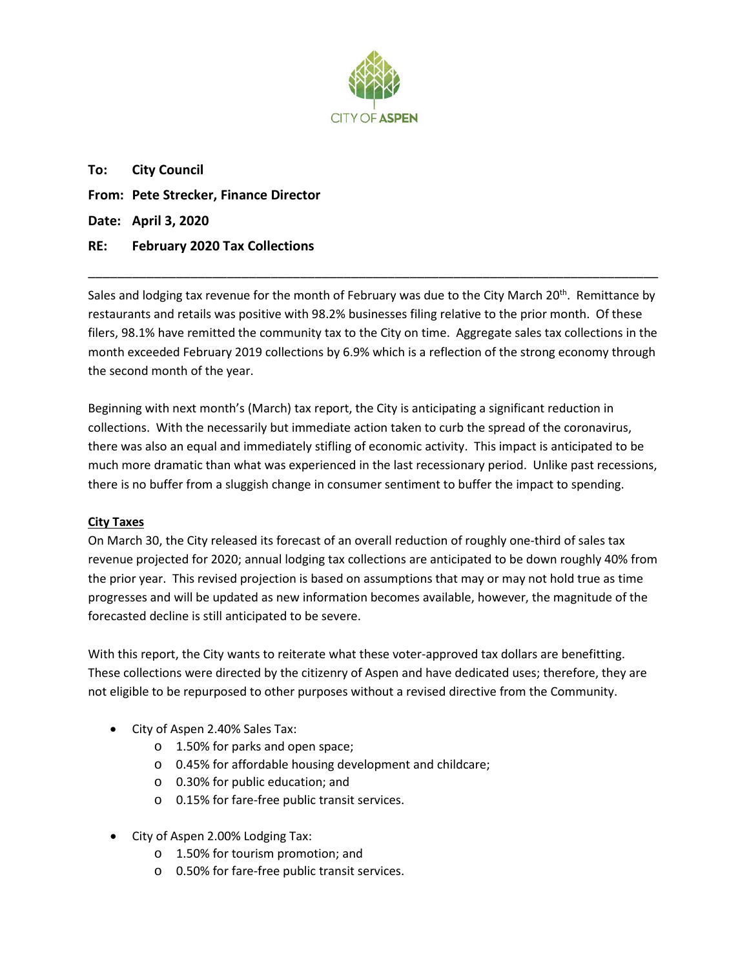

**To: City Council From: Pete Strecker, Finance Director Date: April 3, 2020 RE: February 2020 Tax Collections**

Sales and lodging tax revenue for the month of February was due to the City March 20<sup>th</sup>. Remittance by restaurants and retails was positive with 98.2% businesses filing relative to the prior month. Of these filers, 98.1% have remitted the community tax to the City on time. Aggregate sales tax collections in the month exceeded February 2019 collections by 6.9% which is a reflection of the strong economy through the second month of the year.

\_\_\_\_\_\_\_\_\_\_\_\_\_\_\_\_\_\_\_\_\_\_\_\_\_\_\_\_\_\_\_\_\_\_\_\_\_\_\_\_\_\_\_\_\_\_\_\_\_\_\_\_\_\_\_\_\_\_\_\_\_\_\_\_\_\_\_\_\_\_\_\_\_\_\_\_\_\_

Beginning with next month's (March) tax report, the City is anticipating a significant reduction in collections. With the necessarily but immediate action taken to curb the spread of the coronavirus, there was also an equal and immediately stifling of economic activity. This impact is anticipated to be much more dramatic than what was experienced in the last recessionary period. Unlike past recessions, there is no buffer from a sluggish change in consumer sentiment to buffer the impact to spending.

# **City Taxes**

On March 30, the City released its forecast of an overall reduction of roughly one-third of sales tax revenue projected for 2020; annual lodging tax collections are anticipated to be down roughly 40% from the prior year. This revised projection is based on assumptions that may or may not hold true as time progresses and will be updated as new information becomes available, however, the magnitude of the forecasted decline is still anticipated to be severe.

With this report, the City wants to reiterate what these voter-approved tax dollars are benefitting. These collections were directed by the citizenry of Aspen and have dedicated uses; therefore, they are not eligible to be repurposed to other purposes without a revised directive from the Community.

- City of Aspen 2.40% Sales Tax:
	- o 1.50% for parks and open space;
	- o 0.45% for affordable housing development and childcare;
	- o 0.30% for public education; and
	- o 0.15% for fare-free public transit services.
- City of Aspen 2.00% Lodging Tax:
	- o 1.50% for tourism promotion; and
	- o 0.50% for fare-free public transit services.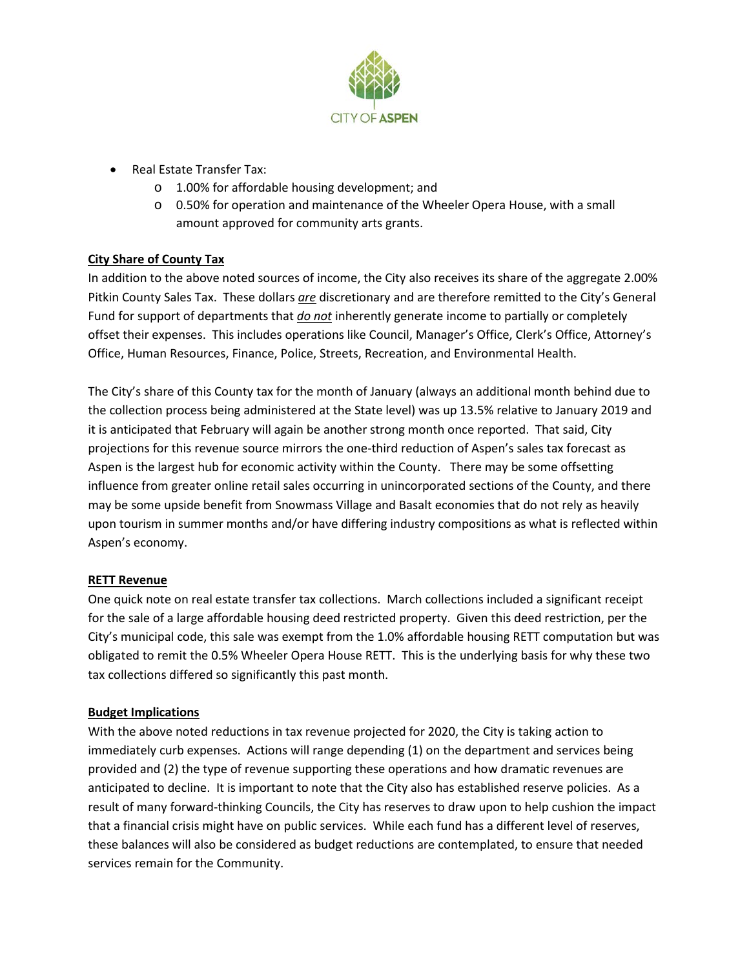

- Real Estate Transfer Tax:
	- o 1.00% for affordable housing development; and
	- o 0.50% for operation and maintenance of the Wheeler Opera House, with a small amount approved for community arts grants.

# **City Share of County Tax**

In addition to the above noted sources of income, the City also receives its share of the aggregate 2.00% Pitkin County Sales Tax. These dollars *are* discretionary and are therefore remitted to the City's General Fund for support of departments that *do not* inherently generate income to partially or completely offset their expenses. This includes operations like Council, Manager's Office, Clerk's Office, Attorney's Office, Human Resources, Finance, Police, Streets, Recreation, and Environmental Health.

The City's share of this County tax for the month of January (always an additional month behind due to the collection process being administered at the State level) was up 13.5% relative to January 2019 and it is anticipated that February will again be another strong month once reported. That said, City projections for this revenue source mirrors the one-third reduction of Aspen's sales tax forecast as Aspen is the largest hub for economic activity within the County. There may be some offsetting influence from greater online retail sales occurring in unincorporated sections of the County, and there may be some upside benefit from Snowmass Village and Basalt economies that do not rely as heavily upon tourism in summer months and/or have differing industry compositions as what is reflected within Aspen's economy.

# **RETT Revenue**

One quick note on real estate transfer tax collections. March collections included a significant receipt for the sale of a large affordable housing deed restricted property. Given this deed restriction, per the City's municipal code, this sale was exempt from the 1.0% affordable housing RETT computation but was obligated to remit the 0.5% Wheeler Opera House RETT. This is the underlying basis for why these two tax collections differed so significantly this past month.

# **Budget Implications**

With the above noted reductions in tax revenue projected for 2020, the City is taking action to immediately curb expenses. Actions will range depending (1) on the department and services being provided and (2) the type of revenue supporting these operations and how dramatic revenues are anticipated to decline. It is important to note that the City also has established reserve policies. As a result of many forward-thinking Councils, the City has reserves to draw upon to help cushion the impact that a financial crisis might have on public services. While each fund has a different level of reserves, these balances will also be considered as budget reductions are contemplated, to ensure that needed services remain for the Community.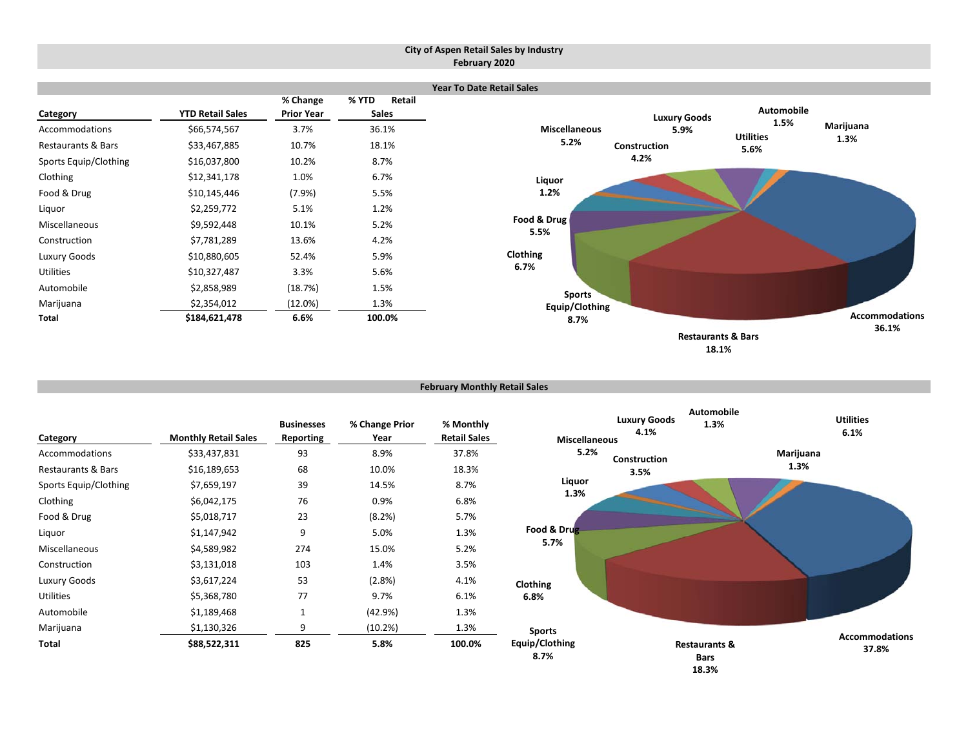#### **City of Aspen Retail Sales by Industry February 2020**

|                       |                         |                               |       |                        | <b>Year To Date Retail Sales</b> |                     |                               |                       |
|-----------------------|-------------------------|-------------------------------|-------|------------------------|----------------------------------|---------------------|-------------------------------|-----------------------|
| Category              | <b>YTD Retail Sales</b> | % Change<br><b>Prior Year</b> | % YTD | Retail<br><b>Sales</b> |                                  | <b>Luxury Goods</b> | <b>Automobile</b>             |                       |
| Accommodations        | \$66,574,567            | 3.7%                          |       | 36.1%                  | <b>Miscellaneous</b>             | 5.9%                | 1.5%<br><b>Utilities</b>      | Marijuana             |
| Restaurants & Bars    | \$33,467,885            | 10.7%                         |       | 18.1%                  | 5.2%                             | Construction        | 5.6%                          | 1.3%                  |
| Sports Equip/Clothing | \$16,037,800            | 10.2%                         |       | 8.7%                   |                                  | 4.2%                |                               |                       |
| Clothing              | \$12,341,178            | 1.0%                          | 6.7%  |                        | Liquor                           |                     |                               |                       |
| Food & Drug           | \$10,145,446            | (7.9%)                        | 5.5%  |                        | 1.2%                             |                     |                               |                       |
| Liquor                | \$2,259,772             | 5.1%                          |       | 1.2%                   |                                  |                     |                               |                       |
| Miscellaneous         | \$9,592,448             | 10.1%                         |       | 5.2%                   | Food & Drug<br>5.5%              |                     |                               |                       |
| Construction          | \$7,781,289             | 13.6%                         | 4.2%  |                        |                                  |                     |                               |                       |
| Luxury Goods          | \$10,880,605            | 52.4%                         |       | 5.9%                   | Clothing                         |                     |                               |                       |
| Utilities             | \$10,327,487            | 3.3%                          |       | 5.6%                   | 6.7%                             |                     |                               |                       |
| Automobile            | \$2,858,989             | (18.7%)                       |       | 1.5%                   | <b>Sports</b>                    |                     |                               |                       |
| Marijuana             | \$2,354,012             | (12.0%)                       |       | 1.3%                   | Equip/Clothing                   |                     |                               |                       |
| Total                 | \$184,621,478           | 6.6%                          |       | 100.0%                 | 8.7%                             |                     |                               | <b>Accommodations</b> |
|                       |                         |                               |       |                        |                                  |                     | <b>Restaurants &amp; Bars</b> | 36.1%                 |
|                       |                         |                               |       |                        |                                  |                     | 18.1%                         |                       |

#### **February Monthly Retail Sales**

| Category              | <b>Monthly Retail Sales</b> | <b>Businesses</b><br>Reporting | % Change Prior<br>Year | % Monthly<br><b>Retail Sales</b> | <b>Miscellaneous</b>   | <b>Luxury Goods</b><br>4.1% | <b>Automobile</b><br>1.3%               | <b>Utilities</b><br>6.1% |
|-----------------------|-----------------------------|--------------------------------|------------------------|----------------------------------|------------------------|-----------------------------|-----------------------------------------|--------------------------|
| Accommodations        | \$33,437,831                | 93                             | 8.9%                   | 37.8%                            | 5.2%                   | Construction                |                                         | Marijuana                |
| Restaurants & Bars    | \$16,189,653                | 68                             | 10.0%                  | 18.3%                            |                        | 3.5%                        |                                         | 1.3%                     |
| Sports Equip/Clothing | \$7,659,197                 | 39                             | 14.5%                  | 8.7%                             | Liquor                 |                             |                                         |                          |
| Clothing              | \$6,042,175                 | 76                             | 0.9%                   | 6.8%                             | 1.3%                   |                             |                                         |                          |
| Food & Drug           | \$5,018,717                 | 23                             | (8.2%)                 | 5.7%                             |                        |                             |                                         |                          |
| Liquor                | \$1,147,942                 | 9                              | 5.0%                   | 1.3%                             | Food & Drug            |                             |                                         |                          |
| Miscellaneous         | \$4,589,982                 | 274                            | 15.0%                  | 5.2%                             | 5.7%                   |                             |                                         |                          |
| Construction          | \$3,131,018                 | 103                            | 1.4%                   | 3.5%                             |                        |                             |                                         |                          |
| Luxury Goods          | \$3,617,224                 | 53                             | (2.8%)                 | 4.1%                             | Clothing               |                             |                                         |                          |
| Utilities             | \$5,368,780                 | 77                             | 9.7%                   | 6.1%                             | 6.8%                   |                             |                                         |                          |
| Automobile            | \$1,189,468                 | $\mathbf{1}$                   | (42.9%)                | 1.3%                             |                        |                             |                                         |                          |
| Marijuana             | \$1,130,326                 | 9                              | (10.2%)                | 1.3%                             | <b>Sports</b>          |                             |                                         |                          |
| Total                 | \$88,522,311                | 825                            | 5.8%                   | 100.0%                           | Equip/Clothing<br>8.7% |                             | <b>Restaurants &amp;</b><br><b>Bars</b> | Accommodations<br>37.8%  |

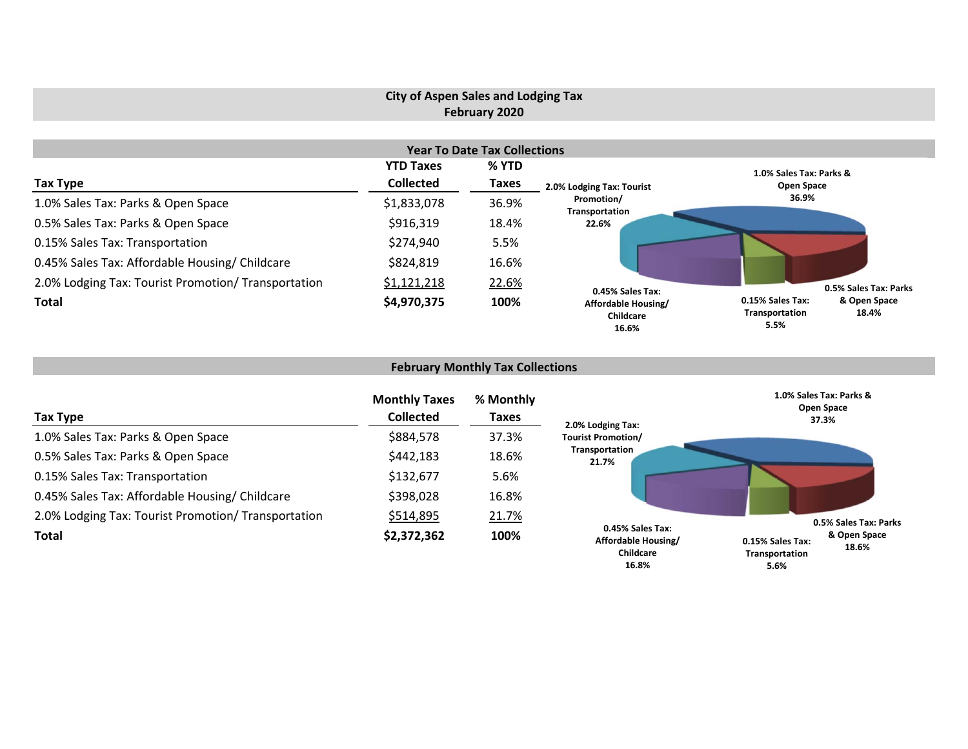# **City of Aspen Sales and Lodging Tax February 2020**

|                                                     |                  | <b>Year To Date Tax Collections</b> |                                           |                                                                     |
|-----------------------------------------------------|------------------|-------------------------------------|-------------------------------------------|---------------------------------------------------------------------|
|                                                     | <b>YTD Taxes</b> | % YTD                               |                                           | 1.0% Sales Tax: Parks &                                             |
| Tax Type                                            | <b>Collected</b> | Taxes                               | 2.0% Lodging Tax: Tourist                 | Open Space                                                          |
| 1.0% Sales Tax: Parks & Open Space                  | \$1,833,078      | 36.9%                               | Promotion/<br>Transportation              | 36.9%                                                               |
| 0.5% Sales Tax: Parks & Open Space                  | \$916,319        | 18.4%                               | 22.6%                                     |                                                                     |
| 0.15% Sales Tax: Transportation                     | \$274,940        | 5.5%                                |                                           |                                                                     |
| 0.45% Sales Tax: Affordable Housing/ Childcare      | \$824,819        | 16.6%                               |                                           |                                                                     |
| 2.0% Lodging Tax: Tourist Promotion/ Transportation | \$1,121,218      | 22.6%                               | 0.45% Sales Tax:                          | 0.5% Sales Tax: Parks                                               |
| <b>Total</b>                                        | \$4,970,375      | 100%                                | Affordable Housing/<br>Childcare<br>16.6% | 0.15% Sales Tax:<br>& Open Space<br>Transportation<br>18.4%<br>5.5% |

# **February Monthly Tax Collections**

| Tax Type                                            | <b>Monthly Taxes</b><br><b>Collected</b> | % Monthly<br><b>Taxes</b> | 2.0% Lodging Tax:                                    | 1.0% Sales Tax: Parks &<br>Open Space<br>37.3%              |
|-----------------------------------------------------|------------------------------------------|---------------------------|------------------------------------------------------|-------------------------------------------------------------|
| 1.0% Sales Tax: Parks & Open Space                  | \$884,578                                | 37.3%                     | <b>Tourist Promotion/</b>                            |                                                             |
| 0.5% Sales Tax: Parks & Open Space                  | \$442,183                                | 18.6%                     | Transportation<br>21.7%                              |                                                             |
| 0.15% Sales Tax: Transportation                     | \$132,677                                | 5.6%                      |                                                      |                                                             |
| 0.45% Sales Tax: Affordable Housing/ Childcare      | \$398,028                                | 16.8%                     |                                                      |                                                             |
| 2.0% Lodging Tax: Tourist Promotion/ Transportation | \$514,895                                | 21.7%                     |                                                      | 0.5% Sales Tax: Parks                                       |
| <b>Total</b>                                        | \$2,372,362                              | 100%                      | 0.45% Sales Tax:<br>Affordable Housing/<br>Childcare | & Open Space<br>0.15% Sales Tax:<br>18.6%<br>Transportation |

**5.6%**

**16.8%**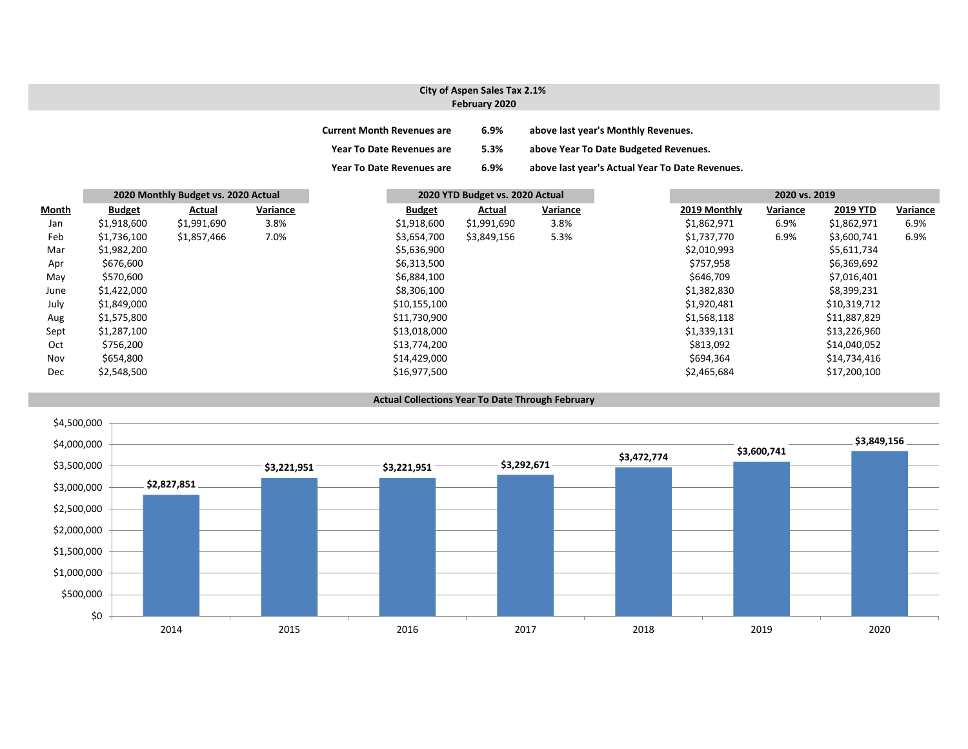### **City of Aspen Sales Tax 2.1% February 2020**

| <b>Current Month Revenues are</b> | 6.9% | above last year's Monthly Revenues.             |
|-----------------------------------|------|-------------------------------------------------|
| <b>Year To Date Revenues are</b>  | 5.3% | above Year To Date Budgeted Revenues.           |
| <b>Year To Date Revenues are</b>  | 6.9% | above last year's Actual Year To Date Revenues. |

|       |               | 2020 Monthly Budget vs. 2020 Actual |          | 2020 YTD Budget vs. 2020 Actual |             | 2020 vs. 2019 |              |          |                 |          |
|-------|---------------|-------------------------------------|----------|---------------------------------|-------------|---------------|--------------|----------|-----------------|----------|
| Month | <b>Budget</b> | Actual                              | Variance | <b>Budget</b>                   | Actual      | Variance      | 2019 Monthly | Variance | <b>2019 YTD</b> | Variance |
| Jan   | \$1,918,600   | \$1,991,690                         | 3.8%     | \$1,918,600                     | \$1,991,690 | 3.8%          | \$1,862,971  | 6.9%     | \$1,862,971     | 6.9%     |
| Feb   | \$1,736,100   | \$1,857,466                         | 7.0%     | \$3,654,700                     | \$3,849,156 | 5.3%          | \$1,737,770  | 6.9%     | \$3,600,741     | 6.9%     |
| Mar   | \$1,982,200   |                                     |          | \$5,636,900                     |             |               | \$2,010,993  |          | \$5,611,734     |          |
| Apr   | \$676,600     |                                     |          | \$6,313,500                     |             |               | \$757,958    |          | \$6,369,692     |          |
| May   | \$570,600     |                                     |          | \$6,884,100                     |             |               | \$646,709    |          | \$7,016,401     |          |
| June  | \$1,422,000   |                                     |          | \$8,306,100                     |             |               | \$1,382,830  |          | \$8,399,231     |          |
| July  | \$1,849,000   |                                     |          | \$10,155,100                    |             |               | \$1,920,481  |          | \$10,319,712    |          |
| Aug   | \$1,575,800   |                                     |          | \$11,730,900                    |             |               | \$1,568,118  |          | \$11,887,829    |          |
| Sept  | \$1,287,100   |                                     |          | \$13,018,000                    |             |               | \$1,339,131  |          | \$13,226,960    |          |
| Oct   | \$756,200     |                                     |          | \$13,774,200                    |             |               | \$813,092    |          | \$14,040,052    |          |
| Nov   | \$654,800     |                                     |          | \$14,429,000                    |             |               | \$694,364    |          | \$14,734,416    |          |
| Dec   | \$2,548,500   |                                     |          | \$16,977,500                    |             |               | \$2,465,684  |          | \$17,200,100    |          |

#### **Actual Collections Year To Date Through February**

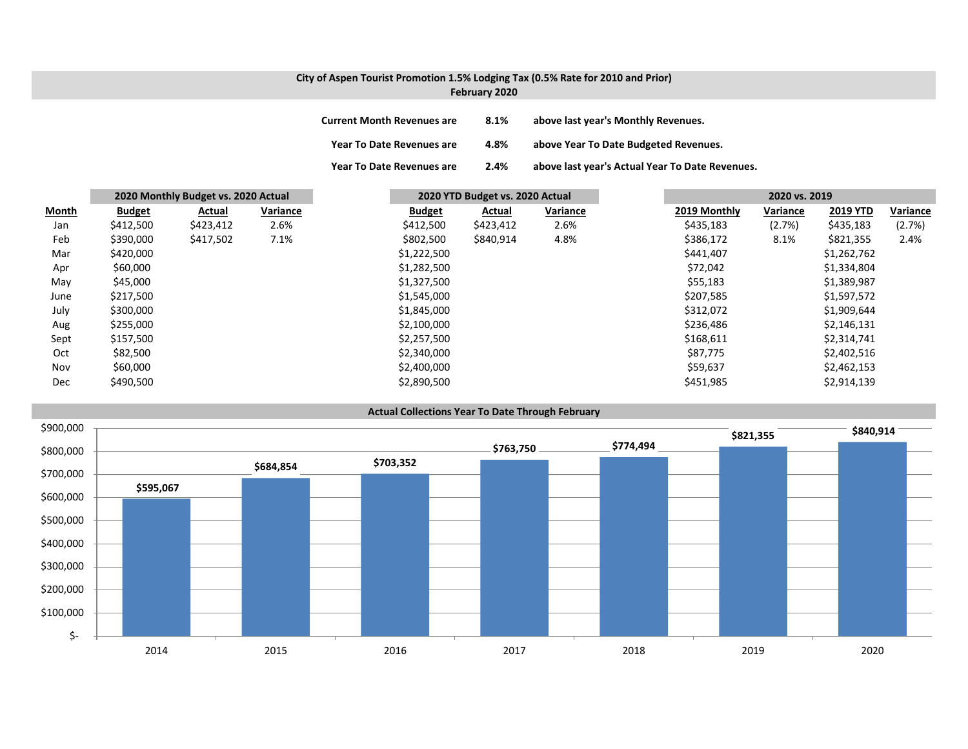### **City of Aspen Tourist Promotion 1.5% Lodging Tax (0.5% Rate for 2010 and Prior) February 2020**

| <b>Current Month Revenues are</b> | 8.1% | above last year's Monthly Revenues.             |
|-----------------------------------|------|-------------------------------------------------|
| Year To Date Revenues are         | 4.8% | above Year To Date Budgeted Revenues.           |
| <b>Year To Date Revenues are</b>  | 2.4% | above last year's Actual Year To Date Revenues. |

|              |               | 2020 Monthly Budget vs. 2020 Actual |          |               | 2020 YTD Budget vs. 2020 Actual |           | 2020 vs. 2019 |              |          |                 |          |
|--------------|---------------|-------------------------------------|----------|---------------|---------------------------------|-----------|---------------|--------------|----------|-----------------|----------|
| <b>Month</b> | <b>Budget</b> | Actual                              | Variance | <b>Budget</b> |                                 | Actual    | Variance      | 2019 Monthly | Variance | <b>2019 YTD</b> | Variance |
| Jan          | \$412,500     | \$423,412                           | 2.6%     | \$412,500     |                                 | \$423,412 | 2.6%          | \$435,183    | (2.7%)   | \$435,183       | (2.7%)   |
| Feb          | \$390,000     | \$417,502                           | 7.1%     | \$802,500     |                                 | \$840,914 | 4.8%          | \$386,172    | 8.1%     | \$821,355       | 2.4%     |
| Mar          | \$420,000     |                                     |          | \$1,222,500   |                                 |           |               | \$441,407    |          | \$1,262,762     |          |
| Apr          | \$60,000      |                                     |          | \$1,282,500   |                                 |           |               | \$72,042     |          | \$1,334,804     |          |
| May          | \$45,000      |                                     |          | \$1,327,500   |                                 |           |               | \$55,183     |          | \$1,389,987     |          |
| June         | \$217,500     |                                     |          | \$1,545,000   |                                 |           |               | \$207,585    |          | \$1,597,572     |          |
| July         | \$300,000     |                                     |          | \$1,845,000   |                                 |           |               | \$312,072    |          | \$1,909,644     |          |
| Aug          | \$255,000     |                                     |          | \$2,100,000   |                                 |           |               | \$236,486    |          | \$2,146,131     |          |
| Sept         | \$157,500     |                                     |          | \$2,257,500   |                                 |           |               | \$168,611    |          | \$2,314,741     |          |
| Oct          | \$82,500      |                                     |          | \$2,340,000   |                                 |           |               | \$87,775     |          | \$2,402,516     |          |
| Nov          | \$60,000      |                                     |          | \$2,400,000   |                                 |           |               | \$59,637     |          | \$2,462,153     |          |
| Dec          | \$490,500     |                                     |          | \$2,890,500   |                                 |           |               | \$451,985    |          | \$2,914,139     |          |

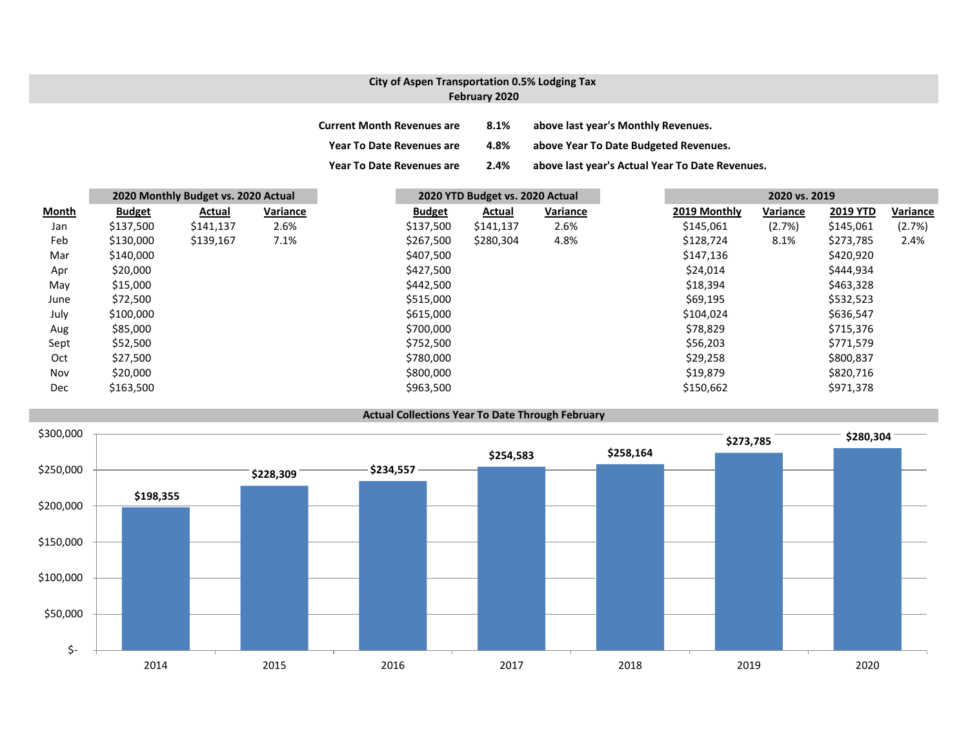### **City of Aspen Transportation 0.5% Lodging Tax February 2020**

| <b>Current Month Revenues are</b> | 8.1% | above last year's Monthly Revenues.             |
|-----------------------------------|------|-------------------------------------------------|
| <b>Year To Date Revenues are</b>  | 4.8% | above Year To Date Budgeted Revenues.           |
| <b>Year To Date Revenues are</b>  | 2.4% | above last year's Actual Year To Date Revenues. |

|              |               | 2020 Monthly Budget vs. 2020 Actual |          | 2020 YTD Budget vs. 2020 Actual |           | 2020 vs. 2019 |              |          |                 |          |
|--------------|---------------|-------------------------------------|----------|---------------------------------|-----------|---------------|--------------|----------|-----------------|----------|
| <b>Month</b> | <b>Budget</b> | Actual                              | Variance | <b>Budget</b>                   | Actual    | Variance      | 2019 Monthly | Variance | <b>2019 YTD</b> | Variance |
| Jan          | \$137,500     | \$141,137                           | 2.6%     | \$137,500                       | \$141,137 | 2.6%          | \$145,061    | (2.7%)   | \$145,061       | (2.7%)   |
| Feb          | \$130,000     | \$139,167                           | 7.1%     | \$267,500                       | \$280,304 | 4.8%          | \$128,724    | 8.1%     | \$273,785       | 2.4%     |
| Mar          | \$140,000     |                                     |          | \$407,500                       |           |               | \$147,136    |          | \$420,920       |          |
| Apr          | \$20,000      |                                     |          | \$427,500                       |           |               | \$24,014     |          | \$444,934       |          |
| May          | \$15,000      |                                     |          | \$442,500                       |           |               | \$18,394     |          | \$463,328       |          |
| June         | \$72,500      |                                     |          | \$515,000                       |           |               | \$69,195     |          | \$532,523       |          |
| July         | \$100,000     |                                     |          | \$615,000                       |           |               | \$104,024    |          | \$636,547       |          |
| Aug          | \$85,000      |                                     |          | \$700,000                       |           |               | \$78,829     |          | \$715,376       |          |
| Sept         | \$52,500      |                                     |          | \$752,500                       |           |               | \$56,203     |          | \$771,579       |          |
| Oct          | \$27,500      |                                     |          | \$780,000                       |           |               | \$29,258     |          | \$800,837       |          |
| Nov          | \$20,000      |                                     |          | \$800,000                       |           |               | \$19,879     |          | \$820,716       |          |
| Dec          | \$163,500     |                                     |          | \$963,500                       |           |               | \$150,662    |          | \$971,378       |          |

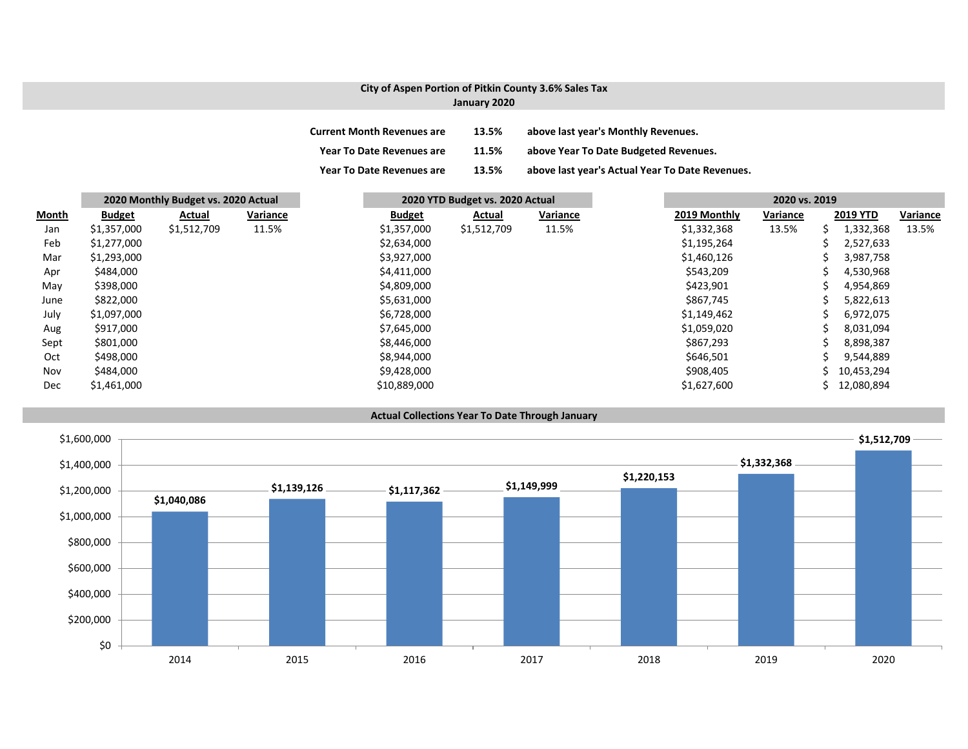#### **City of Aspen Portion of Pitkin County 3.6% Sales Tax January 2020**

| Current Month Revenues are | 13.5% | above last vear's Monthly Revenues. |
|----------------------------|-------|-------------------------------------|
|----------------------------|-------|-------------------------------------|

**Year To Date Revenues are 11.5% above Year To Date Budgeted Revenues.**

**Year To Date Revenues are 13.5% above last year's Actual Year To Date Revenues.**

|       | 2020 Monthly Budget vs. 2020 Actual |             |          | 2020 YTD Budget vs. 2020 Actual |             |          | 2020 vs. 2019 |              |          |   |                 |          |
|-------|-------------------------------------|-------------|----------|---------------------------------|-------------|----------|---------------|--------------|----------|---|-----------------|----------|
| Month | <b>Budget</b>                       | Actual      | Variance | <b>Budget</b>                   | Actual      | Variance |               | 2019 Monthly | Variance |   | <b>2019 YTD</b> | Variance |
| Jan   | \$1,357,000                         | \$1,512,709 | 11.5%    | \$1,357,000                     | \$1,512,709 | 11.5%    |               | \$1,332,368  | 13.5%    | S | 1,332,368       | 13.5%    |
| Feb   | \$1,277,000                         |             |          | \$2,634,000                     |             |          |               | \$1,195,264  |          |   | 2,527,633       |          |
| Mar   | \$1,293,000                         |             |          | \$3,927,000                     |             |          |               | \$1,460,126  |          |   | 3,987,758       |          |
| Apr   | \$484,000                           |             |          | \$4,411,000                     |             |          |               | \$543,209    |          |   | 4,530,968       |          |
| May   | \$398,000                           |             |          | \$4,809,000                     |             |          |               | \$423,901    |          |   | 4,954,869       |          |
| June  | \$822,000                           |             |          | \$5,631,000                     |             |          |               | \$867,745    |          |   | 5,822,613       |          |
| July  | \$1,097,000                         |             |          | \$6,728,000                     |             |          |               | \$1,149,462  |          |   | 6,972,075       |          |
| Aug   | \$917,000                           |             |          | \$7,645,000                     |             |          |               | \$1,059,020  |          |   | 8,031,094       |          |
| Sept  | \$801,000                           |             |          | \$8,446,000                     |             |          |               | \$867,293    |          |   | 8,898,387       |          |
| Oct   | \$498,000                           |             |          | \$8,944,000                     |             |          |               | \$646,501    |          |   | 9,544,889       |          |
| Nov   | \$484,000                           |             |          | \$9,428,000                     |             |          |               | \$908,405    |          |   | 10,453,294      |          |
| Dec   | \$1,461,000                         |             |          | \$10,889,000                    |             |          |               | \$1,627,600  |          |   | 12,080,894      |          |

#### **Actual Collections Year To Date Through January**

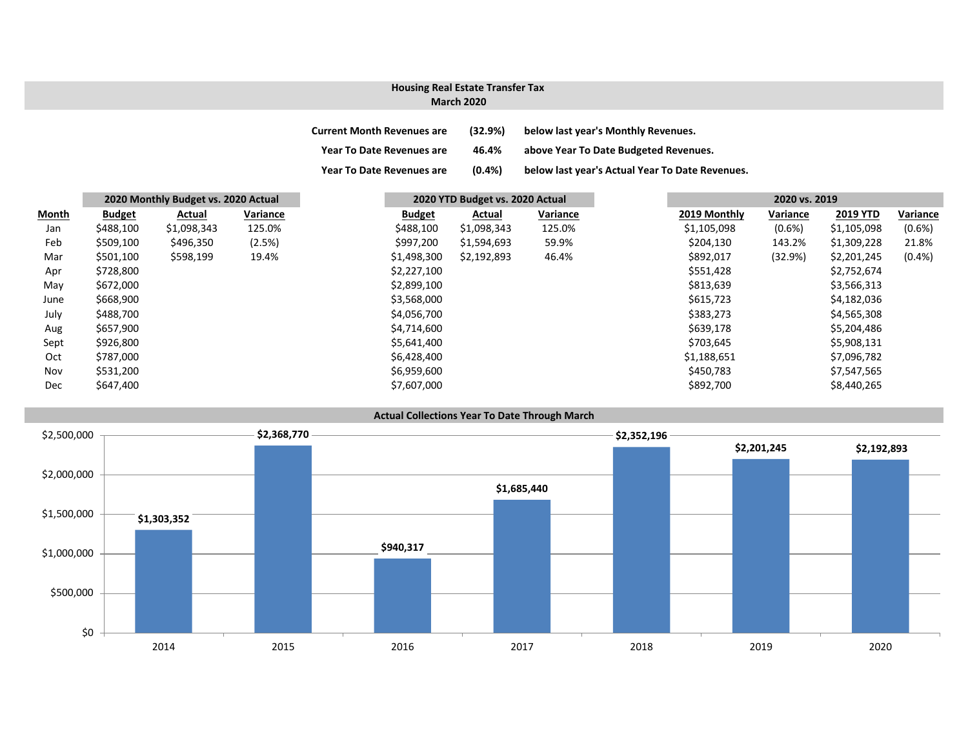# **Housing Real Estate Transfer Tax**

### **March 2020**

| <b>Current Month Revenues are</b> | (32.9%)   | below last year's Monthly Revenues.             |
|-----------------------------------|-----------|-------------------------------------------------|
| <b>Year To Date Revenues are</b>  | 46.4%     | above Year To Date Budgeted Revenues.           |
| <b>Year To Date Revenues are</b>  | $(0.4\%)$ | below last year's Actual Year To Date Revenues. |

|       | 2020 Monthly Budget vs. 2020 Actual |             |          |               | 2020 YTD Budget vs. 2020 Actual |          |  |              |           | 2020 vs. 2019   |           |
|-------|-------------------------------------|-------------|----------|---------------|---------------------------------|----------|--|--------------|-----------|-----------------|-----------|
| Month | <b>Budget</b>                       | Actual      | Variance | <b>Budget</b> | Actual                          | Variance |  | 2019 Monthly | Variance  | <b>2019 YTD</b> | Variance  |
| Jan   | \$488,100                           | \$1,098,343 | 125.0%   | \$488,100     | \$1,098,343                     | 125.0%   |  | \$1,105,098  | $(0.6\%)$ | \$1,105,098     | $(0.6\%)$ |
| Feb   | \$509,100                           | \$496,350   | (2.5%)   | \$997,200     | \$1,594,693                     | 59.9%    |  | \$204,130    | 143.2%    | \$1,309,228     | 21.8%     |
| Mar   | \$501,100                           | \$598,199   | 19.4%    | \$1,498,300   | \$2,192,893                     | 46.4%    |  | \$892,017    | (32.9%)   | \$2,201,245     | (0.4% )   |
| Apr   | \$728,800                           |             |          | \$2,227,100   |                                 |          |  | \$551,428    |           | \$2,752,674     |           |
| May   | \$672,000                           |             |          | \$2,899,100   |                                 |          |  | \$813,639    |           | \$3,566,313     |           |
| June  | \$668,900                           |             |          | \$3,568,000   |                                 |          |  | \$615,723    |           | \$4,182,036     |           |
| July  | \$488,700                           |             |          | \$4,056,700   |                                 |          |  | \$383,273    |           | \$4,565,308     |           |
| Aug   | \$657,900                           |             |          | \$4,714,600   |                                 |          |  | \$639,178    |           | \$5,204,486     |           |
| Sept  | \$926,800                           |             |          | \$5,641,400   |                                 |          |  | \$703,645    |           | \$5,908,131     |           |
| Oct   | \$787,000                           |             |          | \$6,428,400   |                                 |          |  | \$1,188,651  |           | \$7,096,782     |           |
| Nov   | \$531,200                           |             |          | \$6,959,600   |                                 |          |  | \$450,783    |           | \$7,547,565     |           |
| Dec   | \$647,400                           |             |          | \$7,607,000   |                                 |          |  | \$892,700    |           | \$8,440,265     |           |